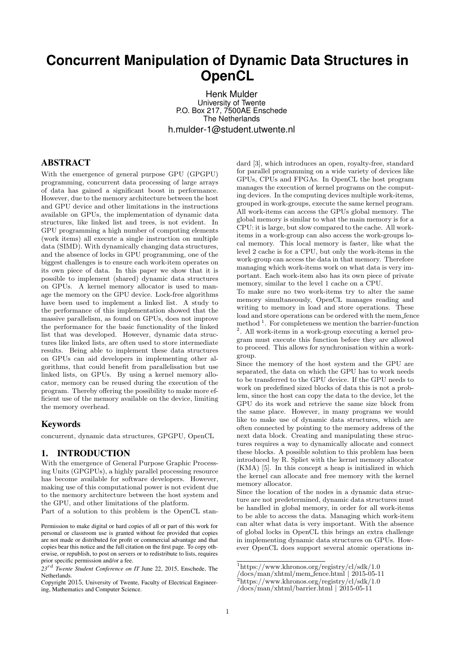# **Concurrent Manipulation of Dynamic Data Structures in OpenCL**

Henk Mulder University of Twente P.O. Box 217, 7500AE Enschede The Netherlands h.mulder-1@student.utwente.nl

#### ABSTRACT

With the emergence of general purpose GPU (GPGPU) programming, concurrent data processing of large arrays of data has gained a significant boost in performance. However, due to the memory architecture between the host and GPU device and other limitations in the instructions available on GPUs, the implementation of dynamic data structures, like linked list and trees, is not evident. In GPU programming a high number of computing elements (work items) all execute a single instruction on multiple data (SIMD). With dynamically changing data structures, and the absence of locks in GPU programming, one of the biggest challenges is to ensure each work-item operates on its own piece of data. In this paper we show that it is possible to implement (shared) dynamic data structures on GPUs. A kernel memory allocator is used to manage the memory on the GPU device. Lock-free algorithms have been used to implement a linked list. A study to the performance of this implementation showed that the massive parallelism, as found on GPUs, does not improve the performance for the basic functionality of the linked list that was developed. However, dynamic data structures like linked lists, are often used to store intermediate results. Being able to implement these data structures on GPUs can aid developers in implementing other algorithms, that could benefit from parallelisation but use linked lists, on GPUs. By using a kernel memory allocator, memory can be reused during the execution of the program. Thereby offering the possibility to make more efficient use of the memory available on the device, limiting the memory overhead.

## Keywords

concurrent, dynamic data structures, GPGPU, OpenCL

#### 1. INTRODUCTION

With the emergence of General Purpose Graphic Processing Units (GPGPUs), a highly parallel processing resource has become available for software developers. However, making use of this computational power is not evident due to the memory architecture between the host system and the GPU, and other limitations of the platform.

Part of a solution to this problem is the OpenCL stan-

dard [3], which introduces an open, royalty-free, standard for parallel programming on a wide variety of devices like GPUs, CPUs and FPGAs. In OpenCL the host program manages the execution of kernel programs on the computing devices. In the computing devices multiple work-items, grouped in work-groups, execute the same kernel program. All work-items can access the GPUs global memory. The global memory is similar to what the main memory is for a CPU: it is large, but slow compared to the cache. All workitems in a work-group can also access the work-groups local memory. This local memory is faster, like what the level 2 cache is for a CPU, but only the work-items in the work-group can access the data in that memory. Therefore managing which work-items work on what data is very important. Each work-item also has its own piece of private memory, similar to the level 1 cache on a CPU.

To make sure no two work-items try to alter the same memory simultaneously, OpenCL manages reading and writing to memory in load and store operations. These load and store operations can be ordered with the mem fence method  $<sup>1</sup>$ . For completeness we mention the barrier-function</sup> 2 . All work-items in a work-group executing a kernel program must execute this function before they are allowed to proceed. This allows for synchronisation within a workgroup.

Since the memory of the host system and the GPU are separated, the data on which the GPU has to work needs to be transferred to the GPU device. If the GPU needs to work on predefined sized blocks of data this is not a problem, since the host can copy the data to the device, let the GPU do its work and retrieve the same size block from the same place. However, in many programs we would like to make use of dynamic data structures, which are often connected by pointing to the memory address of the next data block. Creating and manipulating these structures requires a way to dynamically allocate and connect these blocks. A possible solution to this problem has been introduced by R. Spliet with the kernel memory allocator (KMA) [5]. In this concept a heap is initialized in which the kernel can allocate and free memory with the kernel memory allocator.

Since the location of the nodes in a dynamic data structure are not predetermined, dynamic data structures must be handled in global memory, in order for all work-items to be able to access the data. Managing which work-item can alter what data is very important. With the absence of global locks in OpenCL this brings an extra challenge in implementing dynamic data structures on GPUs. However OpenCL does support several atomic operations in-

Permission to make digital or hard copies of all or part of this work for personal or classroom use is granted without fee provided that copies are not made or distributed for profit or commercial advantage and that copies bear this notice and the full citation on the first page. To copy otherwise, or republish, to post on servers or to redistribute to lists, requires prior specific permission and/or a fee.

*<sup>23</sup>*rd *Twente Student Conference on IT* June 22, 2015, Enschede, The Netherlands.

Copyright 2015, University of Twente, Faculty of Electrical Engineering, Mathematics and Computer Science.

<sup>1</sup>https://www.khronos.org/registry/cl/sdk/1.0

 $\frac{1}{\text{docs/min}}$  \*html/mem\_fence.html | 2015-05-11

 $2$ https://www.khronos.org/registry/cl/sdk/1.0

<sup>/</sup>docs/man/xhtml/barrier.html | 2015-05-11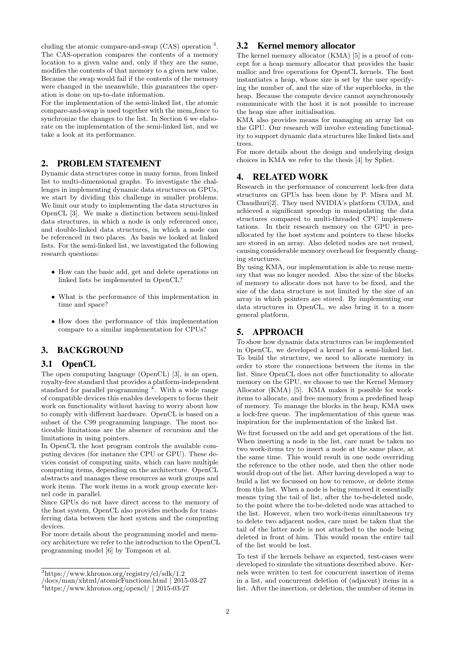cluding the atomic compare-and-swap (CAS) operation <sup>3</sup> . The CAS-operation compares the contents of a memory location to a given value and, only if they are the same, modifies the contents of that memory to a given new value. Because the swap would fail if the contents of the memory were changed in the meanwhile, this guarantees the operation is done on up-to-date information.

For the implementation of the semi-linked list, the atomic compare-and-swap is used together with the mem fence to synchronize the changes to the list. In Section 6 we elaborate on the implementation of the semi-linked list, and we take a look at its performance.

# 2. PROBLEM STATEMENT

Dynamic data structures come in many forms, from linked list to multi-dimensional graphs. To investigate the challenges in implementing dynamic data structures on GPUs, we start by dividing this challenge in smaller problems. We limit our study to implementing the data structures in OpenCL [3]. We make a distinction between semi-linked data structures, in which a node is only referenced once, and double-linked data structures, in which a node can be referenced in two places. As basis we looked at linked lists. For the semi-linked list, we investigated the following research questions:

- How can the basic add, get and delete operations on linked lists be implemented in OpenCL?
- What is the performance of this implementation in time and space?
- How does the performance of this implementation compare to a similar implementation for CPUs?

# 3. BACKGROUND

## 3.1 OpenCL

The open computing language (OpenCL) [3], is an open, royalty-free standard that provides a platform-independent standard for parallel programming <sup>4</sup>. With a wide range of compatible devices this enables developers to focus their work on functionality without having to worry about how to comply with different hardware. OpenCL is based on a subset of the C99 programming language. The most noticeable limitations are the absence of recursion and the limitations in using pointers.

In OpenCL the host program controls the available computing devices (for instance the CPU or GPU). These devices consist of computing units, which can have multiple computing items, depending on the architecture. OpenCL abstracts and manages these resources as work groups and work items. The work items in a work group execute kernel code in parallel.

Since GPUs do not have direct access to the memory of the host system, OpenCL also provides methods for transferring data between the host system and the computing devices.

For more details about the programming model and memory architecture we refer to the introduction to the OpenCL programming model [6] by Tompson et al.

## 3.2 Kernel memory allocator

The kernel memory allocator (KMA) [5] is a proof of concept for a heap memory allocator that provides the basic malloc and free operations for OpenCL kernels. The host instantiates a heap, whose size is set by the user specifying the number of, and the size of the superblocks, in the heap. Because the compute device cannot asynchronously communicate with the host it is not possible to increase the heap size after initialisation.

KMA also provides means for managing an array list on the GPU. Our research will involve extending functionality to support dynamic data structures like linked lists and trees.

For more details about the design and underlying design choices in KMA we refer to the thesis [4] by Spliet.

#### 4. RELATED WORK

Research in the performance of concurrent lock-free data structures on GPUs has been done by P. Misra and M. Chaudhuri[2]. They used NVIDIA's platform CUDA, and achieved a significant speedup in manipulating the data structures compared to multi-threaded CPU implementations. In their research memory on the GPU is preallocated by the host system and pointers to these blocks are stored in an array. Also deleted nodes are not reused, causing considerable memory overhead for frequently changing structures.

By using KMA, our implementation is able to reuse memory that was no longer needed. Also the size of the blocks of memory to allocate does not have to be fixed, and the size of the data structure is not limited by the size of an array in which pointers are stored. By implementing our data structures in OpenCL, we also bring it to a more general platform.

# 5. APPROACH

To show how dynamic data structures can be implemented in OpenCL, we developed a kernel for a semi-linked list. To build the structure, we need to allocate memory in order to store the connections between the items in the list. Since OpenCL does not offer functionality to allocate memory on the GPU, we choose to use the Kernel Memory Allocator (KMA) [5]. KMA makes it possible for workitems to allocate, and free memory from a predefined heap of memory. To manage the blocks in the heap, KMA uses a lock-free queue. The implementation of this queue was inspiration for the implementation of the linked list.

We first focussed on the add and get operations of the list. When inserting a node in the list, care must be taken no two work-items try to insert a node at the same place, at the same time. This would result in one node overriding the reference to the other node, and then the other node would drop out of the list. After having developed a way to build a list we focussed on how to remove, or delete items from this list. When a node is being removed it essentially means tying the tail of list, after the to-be-deleted node, to the point where the to-be-deleted node was attached to the list. However, when two work-items simultaneous try to delete two adjacent nodes, care must be taken that the tail of the latter node is not attached to the node being deleted in front of him. This would mean the entire tail of the list would be lost.

To test if the kernels behave as expected, test-cases were developed to simulate the situations described above. Kernels were written to test for concurrent insertion of items in a list, and concurrent deletion of (adjacent) items in a list. After the insertion, or deletion, the number of items in

<sup>3</sup>https://www.khronos.org/registry/cl/sdk/1.2

<sup>/</sup>docs/man/xhtml/atomicFunctions.html | 2015-03-27

 $^{4}$ https://www.khronos.org/opencl/ | 2015-03-27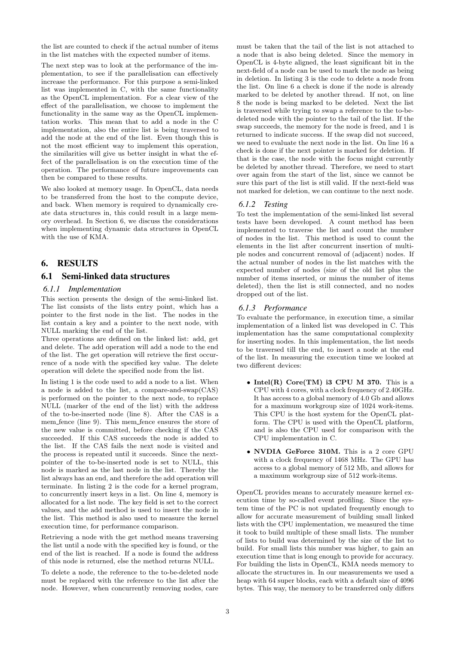the list are counted to check if the actual number of items in the list matches with the expected number of items.

The next step was to look at the performance of the implementation, to see if the parallelisation can effectively increase the performance. For this purpose a semi-linked list was implemented in C, with the same functionality as the OpenCL implementation. For a clear view of the effect of the parallelisation, we choose to implement the functionality in the same way as the OpenCL implementation works. This mean that to add a node in the C implementation, also the entire list is being traversed to add the node at the end of the list. Even though this is not the most efficient way to implement this operation, the similarities will give us better insight in what the effect of the parallelisation is on the execution time of the operation. The performance of future improvements can then be compared to these results.

We also looked at memory usage. In OpenCL, data needs to be transferred from the host to the compute device, and back. When memory is required to dynamically create data structures in, this could result in a large memory overhead. In Section 6, we discuss the considerations when implementing dynamic data structures in OpenCL with the use of KMA.

# 6. RESULTS

## 6.1 Semi-linked data structures

#### *6.1.1 Implementation*

This section presents the design of the semi-linked list. The list consists of the lists entry point, which has a pointer to the first node in the list. The nodes in the list contain a key and a pointer to the next node, with NULL marking the end of the list.

Three operations are defined on the linked list: add, get and delete. The add operation will add a node to the end of the list. The get operation will retrieve the first occurrence of a node with the specified key value. The delete operation will delete the specified node from the list.

In listing 1 is the code used to add a node to a list. When a node is added to the list, a compare-and-swap(CAS) is performed on the pointer to the next node, to replace NULL (marker of the end of the list) with the address of the to-be-inserted node (line 8). After the CAS is a mem fence (line 9). This mem fence ensures the store of the new value is committed, before checking if the CAS succeeded. If this CAS succeeds the node is added to the list. If the CAS fails the next node is visited and the process is repeated until it succeeds. Since the nextpointer of the to-be-inserted node is set to NULL, this node is marked as the last node in the list. Thereby the list always has an end, and therefore the add operation will terminate. In listing 2 is the code for a kernel program, to concurrently insert keys in a list. On line 4, memory is allocated for a list node. The key field is set to the correct values, and the add method is used to insert the node in the list. This method is also used to measure the kernel execution time, for performance comparison.

Retrieving a node with the get method means traversing the list until a node with the specified key is found, or the end of the list is reached. If a node is found the address of this node is returned, else the method returns NULL.

To delete a node, the reference to the to-be-deleted node must be replaced with the reference to the list after the node. However, when concurrently removing nodes, care

must be taken that the tail of the list is not attached to a node that is also being deleted. Since the memory in OpenCL is 4-byte aligned, the least significant bit in the next-field of a node can be used to mark the node as being in deletion. In listing 3 is the code to delete a node from the list. On line 6 a check is done if the node is already marked to be deleted by another thread. If not, on line 8 the node is being marked to be deleted. Next the list is traversed while trying to swap a reference to the to-bedeleted node with the pointer to the tail of the list. If the swap succeeds, the memory for the node is freed, and 1 is returned to indicate success. If the swap did not succeed, we need to evaluate the next node in the list. On line 16 a check is done if the next pointer is marked for deletion. If that is the case, the node with the focus might currently be deleted by another thread. Therefore, we need to start over again from the start of the list, since we cannot be sure this part of the list is still valid. If the next-field was not marked for deletion, we can continue to the next node.

#### *6.1.2 Testing*

To test the implementation of the semi-linked list several tests have been developed. A count method has been implemented to traverse the list and count the number of nodes in the list. This method is used to count the elements in the list after concurrent insertion of multiple nodes and concurrent removal of (adjacent) nodes. If the actual number of nodes in the list matches with the expected number of nodes (size of the old list plus the number of items inserted, or minus the number of items deleted), then the list is still connected, and no nodes dropped out of the list.

#### *6.1.3 Performance*

To evaluate the performance, in execution time, a similar implementation of a linked list was developed in C. This implementation has the same computational complexity for inserting nodes. In this implementation, the list needs to be traversed till the end, to insert a node at the end of the list. In measuring the execution time we looked at two different devices:

- Intel $(R)$  Core $(TM)$  i3 CPU M 370. This is a CPU with 4 cores, with a clock frequency of 2.40GHz. It has access to a global memory of 4.0 Gb and allows for a maximum workgroup size of 1024 work-items. This CPU is the host system for the OpenCL platform. The CPU is used with the OpenCL platform, and is also the CPU used for comparison with the CPU implementation in C.
- NVDIA GeForce 310M. This is a 2 core GPU with a clock frequency of 1468 MHz. The GPU has access to a global memory of 512 Mb, and allows for a maximum workgroup size of 512 work-items.

OpenCL provides means to accurately measure kernel execution time by so-called event profiling. Since the system time of the PC is not updated frequently enough to allow for accurate measurement of building small linked lists with the CPU implementation, we measured the time it took to build multiple of these small lists. The number of lists to build was determined by the size of the list to build. For small lists this number was higher, to gain an execution time that is long enough to provide for accuracy. For building the lists in OpenCL, KMA needs memory to allocate the structures in. In our measurements we used a heap with 64 super blocks, each with a default size of 4096 bytes. This way, the memory to be transferred only differs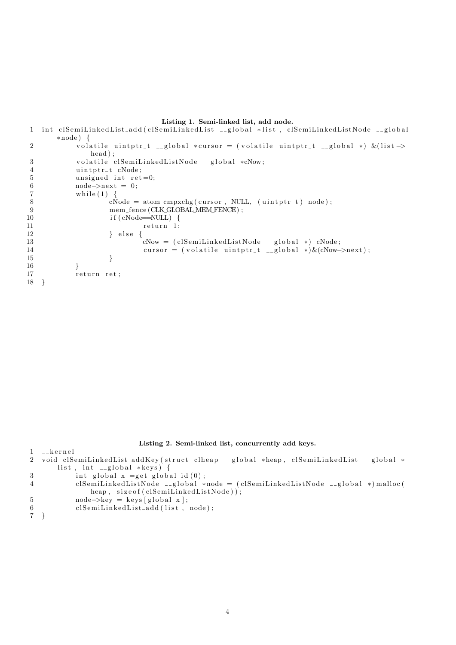#### Listing 1. Semi-linked list, add node.

```
1 int clSemiLinkedList_add(clSemiLinkedList __global *list, clSemiLinkedListNode __global
       ∗node ) {
2 volatile uintptr_t __global *cursor = (volatile uintptr_t __global *) &(list ->
              head);
3 volatile clSemiLinkedListNode __global *cNow;
4 uintptr_t cNode;
5 unsigned int ret=0;<br>6 node \rightarrow next = 0:
6 \text{node} \rightarrow \text{next} = 0;<br>7 \text{while (1) }while (1) {
8 cNode = atom_cmpxchg ( cursor, NULL, ( uintptr_t ) node );<br>9 mem_fence ( CLK_GLOBAL MEM_FENCE ) :
9 mem_fence (CLK_GLOBAL_MEM_FENCE) ;<br>if (cNode=NILL) {
                   if ( cNode=\overline{NULL}) {
11 return 1;
12 } e l s e {
13 cNow = (clSemiLinkedListNode __global *) cNode;
14 cursor = (volatile uintptr_t __global *)\&(cNow->next);
15 }
16 }
17 return ret;
18 }
```
#### Listing 2. Semi-linked list, concurrently add keys.

```
1 - \kappaernel
2 void clSemiLinkedList_addKey(struct clheap __global *heap, clSemiLinkedList __global *
      list, int _{-}global ∗keys) {
3 int global_x =get_global_id(0);
4 clSemiLin kedListNode __global ∗node = (clSemiLin kedListNode __global *) malloc (
             heap, size of (clSemiLinkedListNode));
5 node->key = keys [global_x];
6 clSemiLinkedList_add(list, node);
7 }
```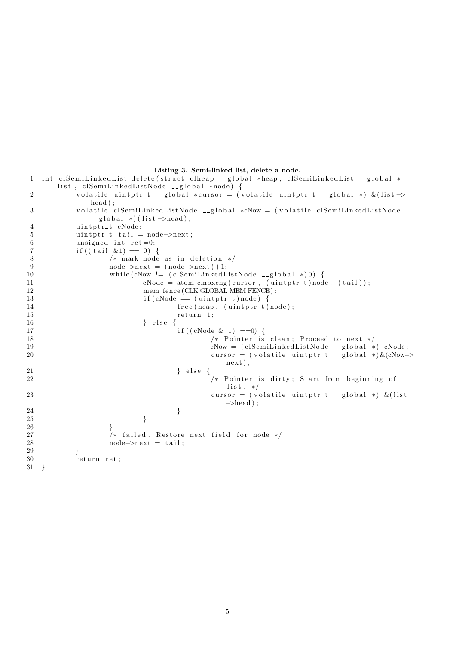```
Listing 3. Semi-linked list, delete a node.
```

```
1 int clSemiLinkedList_delete(struct clheap _global *heap, clSemiLinkedList _global *
     list, clSemiLinkedListNode __global *node) {
volatile uintptr_t __global *cursor = (volatile uintptr_t __global *) &(list ->
          head);
3 volatile clSemiLinkedListNode __global *cNow = (volatile clSemiLinkedListNode
          \Boxglobal *) (list ->head);
4 uintptr_t cNode;
5 uintptr_t tail = node->next;
6 unsigned int ret=0;
7 if ((\text{tail } \& 1) = 0)8 /* mark node as in deletion */9 node \rightarrow next = (node \rightarrow next) +1;10 while (cNow != (clSemiLinkedListNode __global *)0) {
11 cNode = atom_cmpxchg(cursor, (uintptr_t)node, (tail));
12 mem_fence (CLK_GLOBAL_MEM_FENCE) ;
13 if (cNode = (uintptr_t)node) {
14 free (heap, (uintptr_t) node);
15 return 1;
16 } else {
17 if ((cNode & 1) == 0)18 /* Pointer is clean; Proceed to next */
19 cNow = (clSemiLinkedListNode __global *) cNode;
20 cursor = (volatile uintptr_t __global *) \& (cNow->
                                next ) ;
21 } else {
22 /∗ Pointer is dirty; Start from beginning of
                                \frac{\sin x}{x}. */
23 cursor = (volatile uintptr_t __global *) \&(list
                                \rightarrowhead);
24 }
25 }
26 }
27 /* failed. Restore next field for node */28 \t\t \t node>\gt;next = tail;29 }
30 return ret;
31 }
```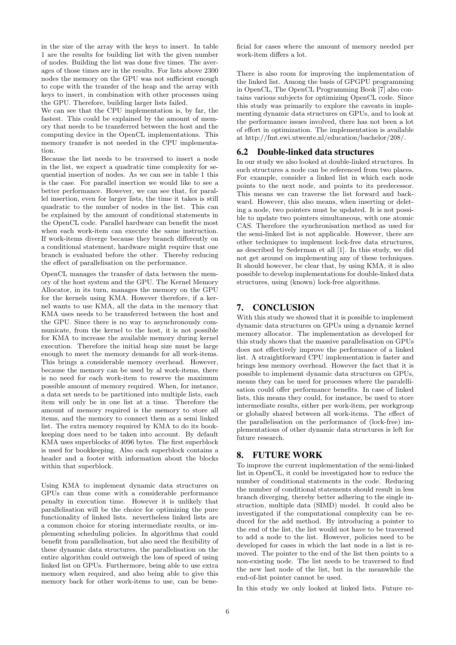in the size of the array with the keys to insert. In table 1 are the results for building list with the given number of nodes. Building the list was done five times. The averages of those times are in the results. For lists above 2300 nodes the memory on the GPU was not sufficient enough to cope with the transfer of the heap and the array with keys to insert, in combination with other processes using the GPU. Therefore, building larger lists failed.

We can see that the CPU implementation is, by far, the fastest. This could be explained by the amount of memory that needs to be transferred between the host and the computing device in the OpenCL implementations. This memory transfer is not needed in the CPU implementation.

Because the list needs to be traversed to insert a node in the list, we expect a quadratic time complexity for sequential insertion of nodes. As we can see in table 1 this is the case. For parallel insertion we would like to see a better performance. However, we can see that, for parallel insertion, even for larger lists, the time it takes is still quadratic to the number of nodes in the list. This can be explained by the amount of conditional statements in the OpenCL code. Parallel hardware can benefit the most when each work-item can execute the same instruction. If work-items diverge because they branch differently on a conditional statement, hardware might require that one branch is evaluated before the other. Thereby reducing the effect of parallelisation on the performance.

OpenCL manages the transfer of data between the memory of the host system and the GPU. The Kernel Memory Allocator, in its turn, manages the memory on the GPU for the kernels using KMA. However therefore, if a kernel wants to use KMA, all the data in the memory that KMA uses needs to be transferred between the host and the GPU. Since there is no way to asynchronously communicate, from the kernel to the host, it is not possible for KMA to increase the available memory during kernel execution. Therefore the initial heap size must be large enough to meet the memory demands for all work-items. This brings a considerable memory overhead. However, because the memory can be used by al work-items, there is no need for each work-item to reserve the maximum possible amount of memory required. When, for instance, a data set needs to be partitioned into multiple lists, each item will only be in one list at a time. Therefore the amount of memory required is the memory to store all items, and the memory to connect them as a semi linked list. The extra memory required by KMA to do its bookkeeping does need to be taken into account. By default KMA uses superblocks of 4096 bytes. The first superblock is used for bookkeeping. Also each superblock contains a header and a footer with information about the blocks within that superblock.

Using KMA to implement dynamic data structures on GPUs can thus come with a considerable performance penalty in execution time. However it is unlikely that parallelisation will be the choice for optimizing the pure functionality of linked lists. nevertheless linked lists are a common choice for storing intermediate results, or implementing scheduling policies. In algorithms that could benefit from parallelisation, but also need the flexibility of these dynamic data structures, the parallelisation on the entire algorithm could outweigh the loss of speed of using linked list on GPUs. Furthermore, being able to use extra memory when required, and also being able to give this memory back for other work-items to use, can be beneficial for cases where the amount of memory needed per work-item differs a lot.

There is also room for improving the implementation of the linked list. Among the basis of GPGPU programming in OpenCL, The OpenCL Programming Book [7] also contains various subjects for optimizing OpenCL code. Since this study was primarily to explore the caveats in implementing dynamic data structures on GPUs, and to look at the performance issues involved, there has not been a lot of effort in optimization. The implementation is available at http://fmt.ewi.utwente.nl/education/bachelor/208/.

## 6.2 Double-linked data structures

In our study we also looked at double-linked structures. In such structures a node can be referenced from two places. For example, consider a linked list in which each node points to the next node, and points to its predecessor. This means we can traverse the list forward and backward. However, this also means, when inserting or deleting a node, two pointers must be updated. It is not possible to update two pointers simultaneous, with one atomic CAS. Therefore the synchronisation method as used for the semi-linked list is not applicable. However, there are other techniques to implement lock-free data structures, as described by Sederman et all [1]. In this study, we did not get around on implementing any of these techniques. It should however, be clear that, by using KMA, it is also possible to develop implementations for double-linked data structures, using (known) lock-free algorithms.

# 7. CONCLUSION

With this study we showed that it is possible to implement dynamic data structures on GPUs using a dynamic kernel memory allocator. The implementation as developed for this study shows that the massive parallelisation on GPUs does not effectively improve the performance of a linked list. A straightforward CPU implementation is faster and brings less memory overhead. However the fact that it is possible to implement dynamic data structures on GPUs, means they can be used for processes where the paralellisation could offer performance benefits. In case of linked lists, this means they could, for instance, be used to store intermediate results, either per work-item, per workgroup or globally shared between all work-items. The effect of the parallelisation on the performance of (lock-free) implementations of other dynamic data structures is left for future research.

# 8. FUTURE WORK

To improve the current implementation of the semi-linked list in OpenCL, it could be investigated how to reduce the number of conditional statements in the code. Reducing the number of conditional statements should result in less branch diverging, thereby better adhering to the single instruction, multiple data (SIMD) model. It could also be investigated if the computational complexity can be reduced for the add method. By introducing a pointer to the end of the list, the list would not have to be traversed to add a node to the list. However, policies need to be developed for cases in which the last node in a list is removed. The pointer to the end of the list then points to a non-existing node. The list needs to be traversed to find the new last node of the list, but in the meanwhile the end-of-list pointer cannot be used.

In this study we only looked at linked lists. Future re-